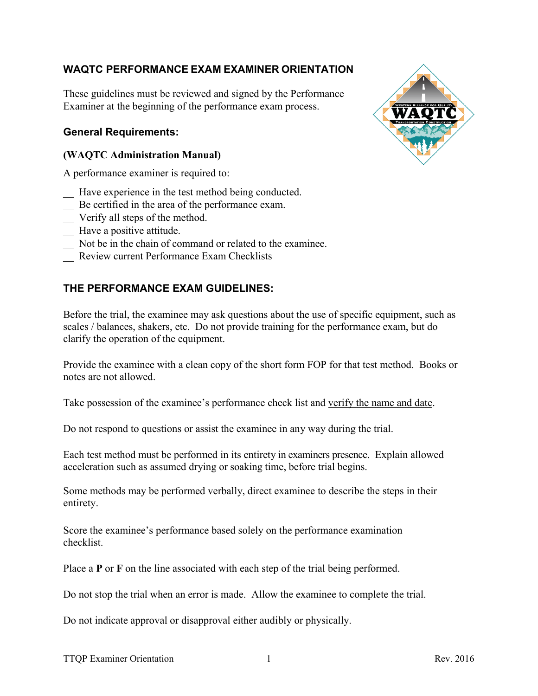# **WAQTC PERFORMANCE EXAM EXAMINER ORIENTATION**

These guidelines must be reviewed and signed by the Performance Examiner at the beginning of the performance exam process.

### **General Requirements:**

### **(WAQTC Administration Manual)**

A performance examiner is required to:

- \_ Have experience in the test method being conducted.
- \_ Be certified in the area of the performance exam.
- Verify all steps of the method.
- \_ Have a positive attitude.
- \_ Not be in the chain of command or related to the examinee.
- Review current Performance Exam Checklists

# **THE PERFORMANCE EXAM GUIDELINES:**

Before the trial, the examinee may ask questions about the use of specific equipment, such as scales / balances, shakers, etc. Do not provide training for the performance exam, but do clarify the operation of the equipment.

Provide the examinee with a clean copy of the short form FOP for that test method. Books or notes are not allowed.

Take possession of the examinee's performance check list and verify the name and date.

Do not respond to questions or assist the examinee in any way during the trial.

Each test method must be performed in its entirety in examiners presence. Explain allowed acceleration such as assumed drying or soaking time, before trial begins.

Some methods may be performed verbally, direct examinee to describe the steps in their entirety.

Score the examinee's performance based solely on the performance examination checklist.

Place a **P** or **F** on the line associated with each step of the trial being performed.

Do not stop the trial when an error is made. Allow the examinee to complete the trial.

Do not indicate approval or disapproval either audibly or physically.